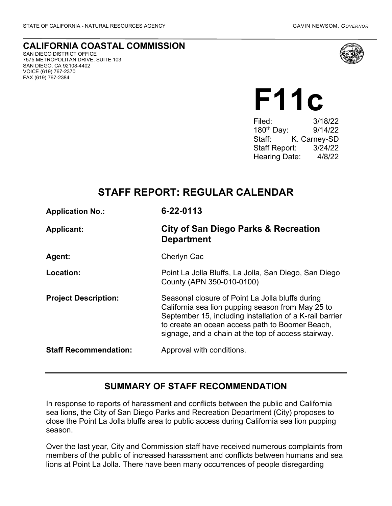## **CALIFORNIA COASTAL COMMISSION** SAN DIEGO DISTRICT OFFICE

7575 METROPOLITAN DRIVE, SUITE 103 SAN DIEGO, CA 92108-4402 VOICE (619) 767-2370 FAX (619) 767-2384



# **F11c**

Filed: 3/18/22 180th Day: 9/14/22 Staff: K. Carney-SD Staff Report: 3/24/22 Hearing Date: 4/8/22

# **STAFF REPORT: REGULAR CALENDAR**

| <b>Application No.:</b>      | 6-22-0113                                                                                                                                                                                                                                                                   |
|------------------------------|-----------------------------------------------------------------------------------------------------------------------------------------------------------------------------------------------------------------------------------------------------------------------------|
| <b>Applicant:</b>            | <b>City of San Diego Parks &amp; Recreation</b><br><b>Department</b>                                                                                                                                                                                                        |
| Agent:                       | Cherlyn Cac                                                                                                                                                                                                                                                                 |
| Location:                    | Point La Jolla Bluffs, La Jolla, San Diego, San Diego<br>County (APN 350-010-0100)                                                                                                                                                                                          |
| <b>Project Description:</b>  | Seasonal closure of Point La Jolla bluffs during<br>California sea lion pupping season from May 25 to<br>September 15, including installation of a K-rail barrier<br>to create an ocean access path to Boomer Beach,<br>signage, and a chain at the top of access stairway. |
| <b>Staff Recommendation:</b> | Approval with conditions.                                                                                                                                                                                                                                                   |

## **SUMMARY OF STAFF RECOMMENDATION**

In response to reports of harassment and conflicts between the public and California sea lions, the City of San Diego Parks and Recreation Department (City) proposes to close the Point La Jolla bluffs area to public access during California sea lion pupping season.

Over the last year, City and Commission staff have received numerous complaints from members of the public of increased harassment and conflicts between humans and sea lions at Point La Jolla. There have been many occurrences of people disregarding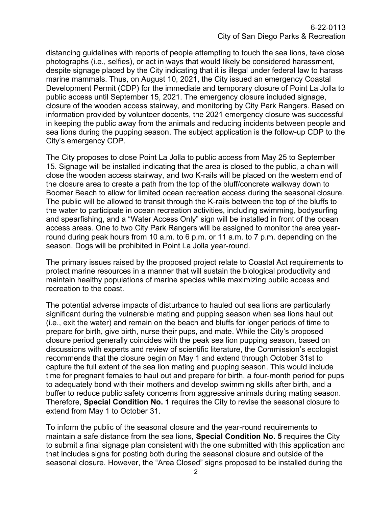distancing guidelines with reports of people attempting to touch the sea lions, take close photographs (i.e., selfies), or act in ways that would likely be considered harassment, despite signage placed by the City indicating that it is illegal under federal law to harass marine mammals. Thus, on August 10, 2021, the City issued an emergency Coastal Development Permit (CDP) for the immediate and temporary closure of Point La Jolla to public access until September 15, 2021. The emergency closure included signage, closure of the wooden access stairway, and monitoring by City Park Rangers. Based on information provided by volunteer docents, the 2021 emergency closure was successful in keeping the public away from the animals and reducing incidents between people and sea lions during the pupping season. The subject application is the follow-up CDP to the City's emergency CDP.

The City proposes to close Point La Jolla to public access from May 25 to September 15. Signage will be installed indicating that the area is closed to the public, a chain will close the wooden access stairway, and two K-rails will be placed on the western end of the closure area to create a path from the top of the bluff/concrete walkway down to Boomer Beach to allow for limited ocean recreation access during the seasonal closure. The public will be allowed to transit through the K-rails between the top of the bluffs to the water to participate in ocean recreation activities, including swimming, bodysurfing and spearfishing, and a "Water Access Only" sign will be installed in front of the ocean access areas. One to two City Park Rangers will be assigned to monitor the area yearround during peak hours from 10 a.m. to 6 p.m. or 11 a.m. to 7 p.m. depending on the season. Dogs will be prohibited in Point La Jolla year-round.

The primary issues raised by the proposed project relate to Coastal Act requirements to protect marine resources in a manner that will sustain the biological productivity and maintain healthy populations of marine species while maximizing public access and recreation to the coast.

The potential adverse impacts of disturbance to hauled out sea lions are particularly significant during the vulnerable mating and pupping season when sea lions haul out (i.e., exit the water) and remain on the beach and bluffs for longer periods of time to prepare for birth, give birth, nurse their pups, and mate. While the City's proposed closure period generally coincides with the peak sea lion pupping season, based on discussions with experts and review of scientific literature, the Commission's ecologist recommends that the closure begin on May 1 and extend through October 31st to capture the full extent of the sea lion mating and pupping season. This would include time for pregnant females to haul out and prepare for birth, a four-month period for pups to adequately bond with their mothers and develop swimming skills after birth, and a buffer to reduce public safety concerns from aggressive animals during mating season. Therefore, **Special Condition No. 1** requires the City to revise the seasonal closure to extend from May 1 to October 31.

To inform the public of the seasonal closure and the year-round requirements to maintain a safe distance from the sea lions, **Special Condition No. 5** requires the City to submit a final signage plan consistent with the one submitted with this application and that includes signs for posting both during the seasonal closure and outside of the seasonal closure. However, the "Area Closed" signs proposed to be installed during the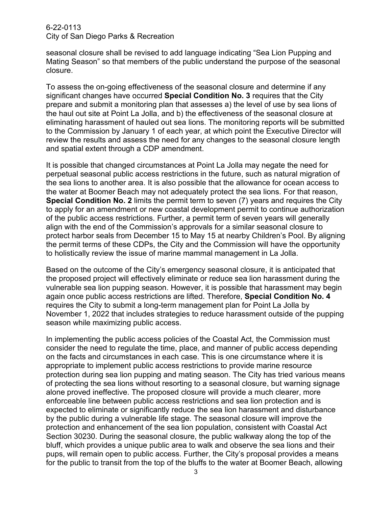seasonal closure shall be revised to add language indicating "Sea Lion Pupping and Mating Season" so that members of the public understand the purpose of the seasonal closure.

To assess the on-going effectiveness of the seasonal closure and determine if any significant changes have occurred **Special Condition No. 3** requires that the City prepare and submit a monitoring plan that assesses a) the level of use by sea lions of the haul out site at Point La Jolla, and b) the effectiveness of the seasonal closure at eliminating harassment of hauled out sea lions. The monitoring reports will be submitted to the Commission by January 1 of each year, at which point the Executive Director will review the results and assess the need for any changes to the seasonal closure length and spatial extent through a CDP amendment.

It is possible that changed circumstances at Point La Jolla may negate the need for perpetual seasonal public access restrictions in the future, such as natural migration of the sea lions to another area. It is also possible that the allowance for ocean access to the water at Boomer Beach may not adequately protect the sea lions. For that reason, **Special Condition No. 2** limits the permit term to seven (7) years and requires the City to apply for an amendment or new coastal development permit to continue authorization of the public access restrictions. Further, a permit term of seven years will generally align with the end of the Commission's approvals for a similar seasonal closure to protect harbor seals from December 15 to May 15 at nearby Children's Pool. By aligning the permit terms of these CDPs, the City and the Commission will have the opportunity to holistically review the issue of marine mammal management in La Jolla.

Based on the outcome of the City's emergency seasonal closure, it is anticipated that the proposed project will effectively eliminate or reduce sea lion harassment during the vulnerable sea lion pupping season. However, it is possible that harassment may begin again once public access restrictions are lifted. Therefore, **Special Condition No. 4** requires the City to submit a long-term management plan for Point La Jolla by November 1, 2022 that includes strategies to reduce harassment outside of the pupping season while maximizing public access.

In implementing the public access policies of the Coastal Act, the Commission must consider the need to regulate the time, place, and manner of public access depending on the facts and circumstances in each case. This is one circumstance where it is appropriate to implement public access restrictions to provide marine resource protection during sea lion pupping and mating season. The City has tried various means of protecting the sea lions without resorting to a seasonal closure, but warning signage alone proved ineffective. The proposed closure will provide a much clearer, more enforceable line between public access restrictions and sea lion protection and is expected to eliminate or significantly reduce the sea lion harassment and disturbance by the public during a vulnerable life stage. The seasonal closure will improve the protection and enhancement of the sea lion population, consistent with Coastal Act Section 30230. During the seasonal closure, the public walkway along the top of the bluff, which provides a unique public area to walk and observe the sea lions and their pups, will remain open to public access. Further, the City's proposal provides a means for the public to transit from the top of the bluffs to the water at Boomer Beach, allowing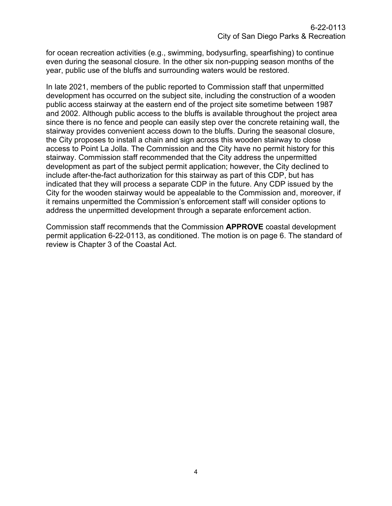for ocean recreation activities (e.g., swimming, bodysurfing, spearfishing) to continue even during the seasonal closure. In the other six non-pupping season months of the year, public use of the bluffs and surrounding waters would be restored.

In late 2021, members of the public reported to Commission staff that unpermitted development has occurred on the subject site, including the construction of a wooden public access stairway at the eastern end of the project site sometime between 1987 and 2002. Although public access to the bluffs is available throughout the project area since there is no fence and people can easily step over the concrete retaining wall, the stairway provides convenient access down to the bluffs. During the seasonal closure, the City proposes to install a chain and sign across this wooden stairway to close access to Point La Jolla. The Commission and the City have no permit history for this stairway. Commission staff recommended that the City address the unpermitted development as part of the subject permit application; however, the City declined to include after-the-fact authorization for this stairway as part of this CDP, but has indicated that they will process a separate CDP in the future. Any CDP issued by the City for the wooden stairway would be appealable to the Commission and, moreover, if it remains unpermitted the Commission's enforcement staff will consider options to address the unpermitted development through a separate enforcement action.

Commission staff recommends that the Commission **APPROVE** coastal development permit application 6-22-0113, as conditioned. The motion is on page 6. The standard of review is Chapter 3 of the Coastal Act.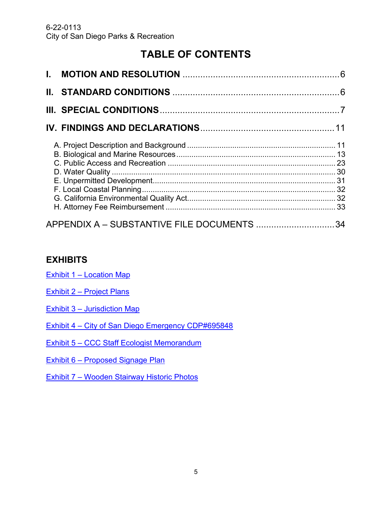# **TABLE OF CONTENTS**

| APPENDIX A - SUBSTANTIVE FILE DOCUMENTS 34 |  |
|--------------------------------------------|--|

## **EXHIBITS**

Exhibit 1 – [Location Map](https://documents.coastal.ca.gov/reports/2022/4/F11c/F11c-4-2022-exhibits.pdf/)

- Exhibit 2 [Project Plans](https://documents.coastal.ca.gov/reports/2022/4/F11c/F11c-4-2022-exhibits.pdf/)
- Exhibit 3 [Jurisdiction Map](https://documents.coastal.ca.gov/reports/2022/4/F11c/F11c-4-2022-exhibits.pdf/)

Exhibit 4 – [City of San Diego Emergency CDP#695848](https://documents.coastal.ca.gov/reports/2022/4/F11c/F11c-4-2022-exhibits.pdf/)

Exhibit 5 – [CCC Staff Ecologist Memorandum](https://documents.coastal.ca.gov/reports/2022/4/F11c/F11c-4-2022-exhibits.pdf/)

Exhibit 6 – [Proposed Signage](https://documents.coastal.ca.gov/reports/2022/4/F11c/F11c-4-2022-exhibits.pdf/) Plan

Exhibit 7 – [Wooden Stairway Historic Photos](https://documents.coastal.ca.gov/reports/2022/4/F11c/F11c-4-2022-exhibits.pdf/)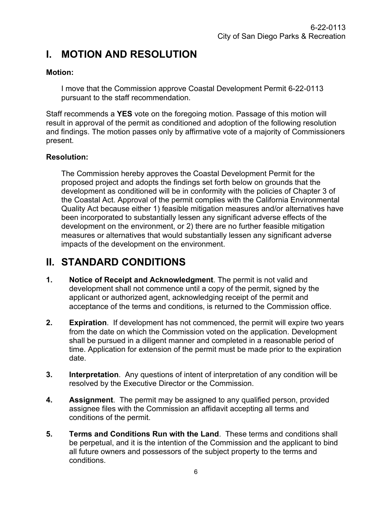# <span id="page-5-0"></span>**I. MOTION AND RESOLUTION**

## **Motion:**

I move that the Commission approve Coastal Development Permit 6-22-0113 pursuant to the staff recommendation.

Staff recommends a **YES** vote on the foregoing motion. Passage of this motion will result in approval of the permit as conditioned and adoption of the following resolution and findings. The motion passes only by affirmative vote of a majority of Commissioners present.

## **Resolution:**

The Commission hereby approves the Coastal Development Permit for the proposed project and adopts the findings set forth below on grounds that the development as conditioned will be in conformity with the policies of Chapter 3 of the Coastal Act. Approval of the permit complies with the California Environmental Quality Act because either 1) feasible mitigation measures and/or alternatives have been incorporated to substantially lessen any significant adverse effects of the development on the environment, or 2) there are no further feasible mitigation measures or alternatives that would substantially lessen any significant adverse impacts of the development on the environment.

# <span id="page-5-1"></span>**II. STANDARD CONDITIONS**

- **1. Notice of Receipt and Acknowledgment**. The permit is not valid and development shall not commence until a copy of the permit, signed by the applicant or authorized agent, acknowledging receipt of the permit and acceptance of the terms and conditions, is returned to the Commission office.
- **2. Expiration**. If development has not commenced, the permit will expire two years from the date on which the Commission voted on the application. Development shall be pursued in a diligent manner and completed in a reasonable period of time. Application for extension of the permit must be made prior to the expiration date.
- **3. Interpretation**. Any questions of intent of interpretation of any condition will be resolved by the Executive Director or the Commission.
- **4. Assignment**. The permit may be assigned to any qualified person, provided assignee files with the Commission an affidavit accepting all terms and conditions of the permit.
- **5. Terms and Conditions Run with the Land**. These terms and conditions shall be perpetual, and it is the intention of the Commission and the applicant to bind all future owners and possessors of the subject property to the terms and conditions.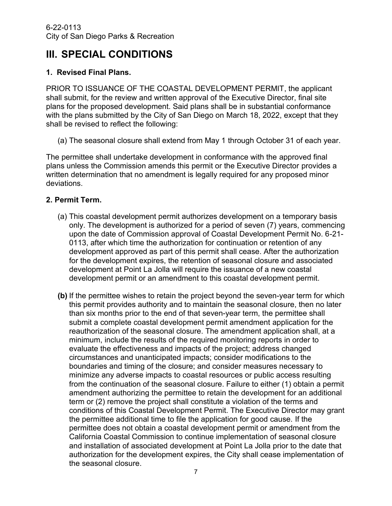# <span id="page-6-0"></span>**III. SPECIAL CONDITIONS**

## **1. Revised Final Plans.**

PRIOR TO ISSUANCE OF THE COASTAL DEVELOPMENT PERMIT, the applicant shall submit, for the review and written approval of the Executive Director, final site plans for the proposed development. Said plans shall be in substantial conformance with the plans submitted by the City of San Diego on March 18, 2022, except that they shall be revised to reflect the following:

(a) The seasonal closure shall extend from May 1 through October 31 of each year.

The permittee shall undertake development in conformance with the approved final plans unless the Commission amends this permit or the Executive Director provides a written determination that no amendment is legally required for any proposed minor deviations.

## **2. Permit Term.**

- (a) This coastal development permit authorizes development on a temporary basis only. The development is authorized for a period of seven (7) years, commencing upon the date of Commission approval of Coastal Development Permit No. 6-21- 0113, after which time the authorization for continuation or retention of any development approved as part of this permit shall cease. After the authorization for the development expires, the retention of seasonal closure and associated development at Point La Jolla will require the issuance of a new coastal development permit or an amendment to this coastal development permit.
- **(b)** If the permittee wishes to retain the project beyond the seven-year term for which this permit provides authority and to maintain the seasonal closure, then no later than six months prior to the end of that seven-year term, the permittee shall submit a complete coastal development permit amendment application for the reauthorization of the seasonal closure. The amendment application shall, at a minimum, include the results of the required monitoring reports in order to evaluate the effectiveness and impacts of the project; address changed circumstances and unanticipated impacts; consider modifications to the boundaries and timing of the closure; and consider measures necessary to minimize any adverse impacts to coastal resources or public access resulting from the continuation of the seasonal closure. Failure to either (1) obtain a permit amendment authorizing the permittee to retain the development for an additional term or (2) remove the project shall constitute a violation of the terms and conditions of this Coastal Development Permit. The Executive Director may grant the permittee additional time to file the application for good cause. If the permittee does not obtain a coastal development permit or amendment from the California Coastal Commission to continue implementation of seasonal closure and installation of associated development at Point La Jolla prior to the date that authorization for the development expires, the City shall cease implementation of the seasonal closure.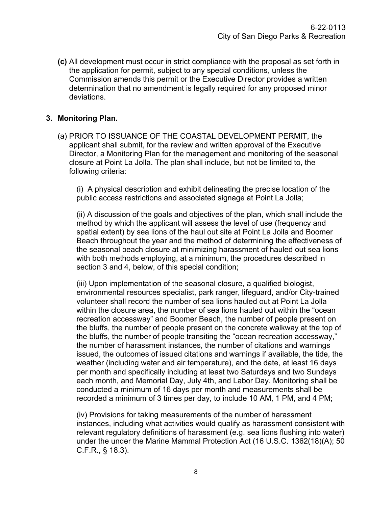**(c)** All development must occur in strict compliance with the proposal as set forth in the application for permit, subject to any special conditions, unless the Commission amends this permit or the Executive Director provides a written determination that no amendment is legally required for any proposed minor deviations.

## **3. Monitoring Plan.**

(a) PRIOR TO ISSUANCE OF THE COASTAL DEVELOPMENT PERMIT, the applicant shall submit, for the review and written approval of the Executive Director, a Monitoring Plan for the management and monitoring of the seasonal closure at Point La Jolla. The plan shall include, but not be limited to, the following criteria:

(i) A physical description and exhibit delineating the precise location of the public access restrictions and associated signage at Point La Jolla;

(ii) A discussion of the goals and objectives of the plan, which shall include the method by which the applicant will assess the level of use (frequency and spatial extent) by sea lions of the haul out site at Point La Jolla and Boomer Beach throughout the year and the method of determining the effectiveness of the seasonal beach closure at minimizing harassment of hauled out sea lions with both methods employing, at a minimum, the procedures described in section 3 and 4, below, of this special condition;

(iii) Upon implementation of the seasonal closure, a qualified biologist, environmental resources specialist, park ranger, lifeguard, and/or City-trained volunteer shall record the number of sea lions hauled out at Point La Jolla within the closure area, the number of sea lions hauled out within the "ocean recreation accessway" and Boomer Beach, the number of people present on the bluffs, the number of people present on the concrete walkway at the top of the bluffs, the number of people transiting the "ocean recreation accessway," the number of harassment instances, the number of citations and warnings issued, the outcomes of issued citations and warnings if available, the tide, the weather (including water and air temperature), and the date, at least 16 days per month and specifically including at least two Saturdays and two Sundays each month, and Memorial Day, July 4th, and Labor Day. Monitoring shall be conducted a minimum of 16 days per month and measurements shall be recorded a minimum of 3 times per day, to include 10 AM, 1 PM, and 4 PM;

(iv) Provisions for taking measurements of the number of harassment instances, including what activities would qualify as harassment consistent with relevant regulatory definitions of harassment (e.g. sea lions flushing into water) under the under the Marine Mammal Protection Act (16 U.S.C. 1362(18)(A); 50 C.F.R., § 18.3).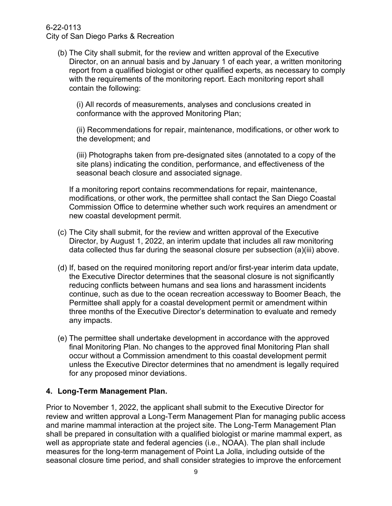(b) The City shall submit, for the review and written approval of the Executive Director, on an annual basis and by January 1 of each year, a written monitoring report from a qualified biologist or other qualified experts, as necessary to comply with the requirements of the monitoring report. Each monitoring report shall contain the following:

(i) All records of measurements, analyses and conclusions created in conformance with the approved Monitoring Plan;

(ii) Recommendations for repair, maintenance, modifications, or other work to the development; and

(iii) Photographs taken from pre-designated sites (annotated to a copy of the site plans) indicating the condition, performance, and effectiveness of the seasonal beach closure and associated signage.

If a monitoring report contains recommendations for repair, maintenance, modifications, or other work, the permittee shall contact the San Diego Coastal Commission Office to determine whether such work requires an amendment or new coastal development permit.

- (c) The City shall submit, for the review and written approval of the Executive Director, by August 1, 2022, an interim update that includes all raw monitoring data collected thus far during the seasonal closure per subsection (a)(iii) above.
- (d) If, based on the required monitoring report and/or first-year interim data update, the Executive Director determines that the seasonal closure is not significantly reducing conflicts between humans and sea lions and harassment incidents continue, such as due to the ocean recreation accessway to Boomer Beach, the Permittee shall apply for a coastal development permit or amendment within three months of the Executive Director's determination to evaluate and remedy any impacts.
- (e) The permittee shall undertake development in accordance with the approved final Monitoring Plan. No changes to the approved final Monitoring Plan shall occur without a Commission amendment to this coastal development permit unless the Executive Director determines that no amendment is legally required for any proposed minor deviations.

## **4. Long-Term Management Plan.**

Prior to November 1, 2022, the applicant shall submit to the Executive Director for review and written approval a Long-Term Management Plan for managing public access and marine mammal interaction at the project site. The Long-Term Management Plan shall be prepared in consultation with a qualified biologist or marine mammal expert, as well as appropriate state and federal agencies (i.e., NOAA). The plan shall include measures for the long-term management of Point La Jolla, including outside of the seasonal closure time period, and shall consider strategies to improve the enforcement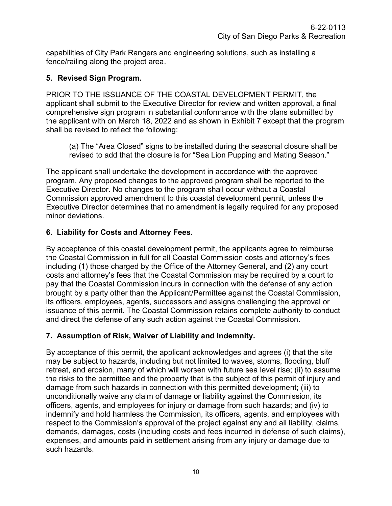capabilities of City Park Rangers and engineering solutions, such as installing a fence/railing along the project area.

## **5. Revised Sign Program.**

PRIOR TO THE ISSUANCE OF THE COASTAL DEVELOPMENT PERMIT, the applicant shall submit to the Executive Director for review and written approval, a final comprehensive sign program in substantial conformance with the plans submitted by the applicant with on March 18, 2022 and as shown in Exhibit 7 except that the program shall be revised to reflect the following:

(a) The "Area Closed" signs to be installed during the seasonal closure shall be revised to add that the closure is for "Sea Lion Pupping and Mating Season."

The applicant shall undertake the development in accordance with the approved program. Any proposed changes to the approved program shall be reported to the Executive Director. No changes to the program shall occur without a Coastal Commission approved amendment to this coastal development permit, unless the Executive Director determines that no amendment is legally required for any proposed minor deviations.

## **6. Liability for Costs and Attorney Fees.**

By acceptance of this coastal development permit, the applicants agree to reimburse the Coastal Commission in full for all Coastal Commission costs and attorney's fees including (1) those charged by the Office of the Attorney General, and (2) any court costs and attorney's fees that the Coastal Commission may be required by a court to pay that the Coastal Commission incurs in connection with the defense of any action brought by a party other than the Applicant/Permittee against the Coastal Commission, its officers, employees, agents, successors and assigns challenging the approval or issuance of this permit. The Coastal Commission retains complete authority to conduct and direct the defense of any such action against the Coastal Commission.

## **7. Assumption of Risk, Waiver of Liability and Indemnity.**

By acceptance of this permit, the applicant acknowledges and agrees (i) that the site may be subject to hazards, including but not limited to waves, storms, flooding, bluff retreat, and erosion, many of which will worsen with future sea level rise; (ii) to assume the risks to the permittee and the property that is the subject of this permit of injury and damage from such hazards in connection with this permitted development; (iii) to unconditionally waive any claim of damage or liability against the Commission, its officers, agents, and employees for injury or damage from such hazards; and (iv) to indemnify and hold harmless the Commission, its officers, agents, and employees with respect to the Commission's approval of the project against any and all liability, claims, demands, damages, costs (including costs and fees incurred in defense of such claims), expenses, and amounts paid in settlement arising from any injury or damage due to such hazards.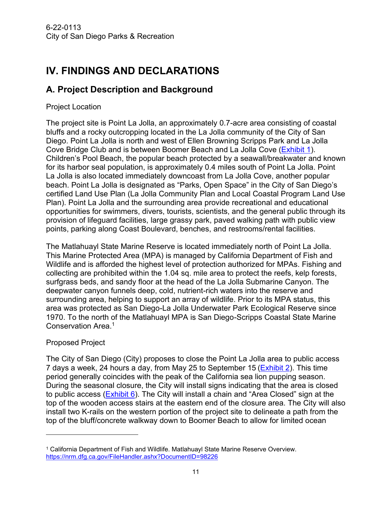# <span id="page-10-0"></span>**IV. FINDINGS AND DECLARATIONS**

## <span id="page-10-1"></span>**A. Project Description and Background**

## Project Location

The project site is Point La Jolla, an approximately 0.7-acre area consisting of coastal bluffs and a rocky outcropping located in the La Jolla community of the City of San Diego. Point La Jolla is north and west of Ellen Browning Scripps Park and La Jolla Cove Bridge Club and is between Boomer Beach and La Jolla Cove [\(Exhibit 1\)](https://documents.coastal.ca.gov/reports/2022/4/F11c/F11c-4-2022-exhibits.pdf/). Children's Pool Beach, the popular beach protected by a seawall/breakwater and known for its harbor seal population, is approximately 0.4 miles south of Point La Jolla. Point La Jolla is also located immediately downcoast from La Jolla Cove, another popular beach. Point La Jolla is designated as "Parks, Open Space" in the City of San Diego's certified Land Use Plan (La Jolla Community Plan and Local Coastal Program Land Use Plan). Point La Jolla and the surrounding area provide recreational and educational opportunities for swimmers, divers, tourists, scientists, and the general public through its provision of lifeguard facilities, large grassy park, paved walking path with public view points, parking along Coast Boulevard, benches, and restrooms/rental facilities.

The Matlahuayl State Marine Reserve is located immediately north of Point La Jolla. This Marine Protected Area (MPA) is managed by California Department of Fish and Wildlife and is afforded the highest level of protection authorized for MPAs. Fishing and collecting are prohibited within the 1.04 sq. mile area to protect the reefs, kelp forests, surfgrass beds, and sandy floor at the head of the La Jolla Submarine Canyon. The deepwater canyon funnels deep, cold, nutrient-rich waters into the reserve and surrounding area, helping to support an array of wildlife. Prior to its MPA status, this area was protected as San Diego-La Jolla Underwater Park Ecological Reserve since 1970. To the north of the Matlahuayl MPA is San Diego-Scripps Coastal State Marine Conservation Area.<sup>1</sup>

## Proposed Project

The City of San Diego (City) proposes to close the Point La Jolla area to public access 7 days a week, 24 hours a day, from May 25 to September 15 (**Exhibit 2**). This time period generally coincides with the peak of the California sea lion pupping season. During the seasonal closure, the City will install signs indicating that the area is closed to public access [\(Exhibit 6\)](https://documents.coastal.ca.gov/reports/2022/4/F11c/F11c-4-2022-exhibits.pdf/). The City will install a chain and "Area Closed" sign at the top of the wooden access stairs at the eastern end of the closure area. The City will also install two K-rails on the western portion of the project site to delineate a path from the top of the bluff/concrete walkway down to Boomer Beach to allow for limited ocean

<sup>1</sup> California Department of Fish and Wildlife. Matlahuayl State Marine Reserve Overview. <https://nrm.dfg.ca.gov/FileHandler.ashx?DocumentID=98226>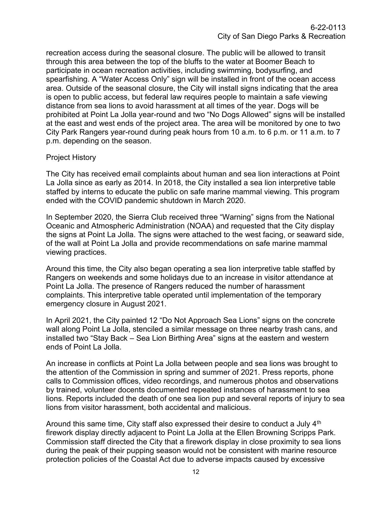recreation access during the seasonal closure. The public will be allowed to transit through this area between the top of the bluffs to the water at Boomer Beach to participate in ocean recreation activities, including swimming, bodysurfing, and spearfishing. A "Water Access Only" sign will be installed in front of the ocean access area. Outside of the seasonal closure, the City will install signs indicating that the area is open to public access, but federal law requires people to maintain a safe viewing distance from sea lions to avoid harassment at all times of the year. Dogs will be prohibited at Point La Jolla year-round and two "No Dogs Allowed" signs will be installed at the east and west ends of the project area. The area will be monitored by one to two City Park Rangers year-round during peak hours from 10 a.m. to 6 p.m. or 11 a.m. to 7 p.m. depending on the season.

## Project History

The City has received email complaints about human and sea lion interactions at Point La Jolla since as early as 2014. In 2018, the City installed a sea lion interpretive table staffed by interns to educate the public on safe marine mammal viewing. This program ended with the COVID pandemic shutdown in March 2020.

In September 2020, the Sierra Club received three "Warning" signs from the National Oceanic and Atmospheric Administration (NOAA) and requested that the City display the signs at Point La Jolla. The signs were attached to the west facing, or seaward side, of the wall at Point La Jolla and provide recommendations on safe marine mammal viewing practices.

Around this time, the City also began operating a sea lion interpretive table staffed by Rangers on weekends and some holidays due to an increase in visitor attendance at Point La Jolla. The presence of Rangers reduced the number of harassment complaints. This interpretive table operated until implementation of the temporary emergency closure in August 2021.

In April 2021, the City painted 12 "Do Not Approach Sea Lions" signs on the concrete wall along Point La Jolla, stenciled a similar message on three nearby trash cans, and installed two "Stay Back – Sea Lion Birthing Area" signs at the eastern and western ends of Point La Jolla.

An increase in conflicts at Point La Jolla between people and sea lions was brought to the attention of the Commission in spring and summer of 2021. Press reports, phone calls to Commission offices, video recordings, and numerous photos and observations by trained, volunteer docents documented repeated instances of harassment to sea lions. Reports included the death of one sea lion pup and several reports of injury to sea lions from visitor harassment, both accidental and malicious.

Around this same time, City staff also expressed their desire to conduct a July  $4<sup>th</sup>$ firework display directly adjacent to Point La Jolla at the Ellen Browning Scripps Park. Commission staff directed the City that a firework display in close proximity to sea lions during the peak of their pupping season would not be consistent with marine resource protection policies of the Coastal Act due to adverse impacts caused by excessive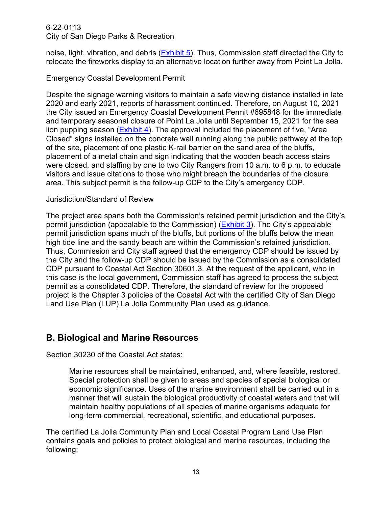noise, light, vibration, and debris [\(Exhibit 5\)](https://documents.coastal.ca.gov/reports/2022/4/F11c/F11c-4-2022-exhibits.pdf/). Thus, Commission staff directed the City to relocate the fireworks display to an alternative location further away from Point La Jolla.

## Emergency Coastal Development Permit

Despite the signage warning visitors to maintain a safe viewing distance installed in late 2020 and early 2021, reports of harassment continued. Therefore, on August 10, 2021 the City issued an Emergency Coastal Development Permit #695848 for the immediate and temporary seasonal closure of Point La Jolla until September 15, 2021 for the sea lion pupping season  $(Exhibit 4)$ . The approval included the placement of five, "Area Closed" signs installed on the concrete wall running along the public pathway at the top of the site, placement of one plastic K-rail barrier on the sand area of the bluffs, placement of a metal chain and sign indicating that the wooden beach access stairs were closed, and staffing by one to two City Rangers from 10 a.m. to 6 p.m. to educate visitors and issue citations to those who might breach the boundaries of the closure area. This subject permit is the follow-up CDP to the City's emergency CDP.

## Jurisdiction/Standard of Review

The project area spans both the Commission's retained permit jurisdiction and the City's permit jurisdiction (appealable to the Commission) [\(Exhibit 3\)](https://documents.coastal.ca.gov/reports/2022/4/F11c/F11c-4-2022-exhibits.pdf/). The City's appealable permit jurisdiction spans much of the bluffs, but portions of the bluffs below the mean high tide line and the sandy beach are within the Commission's retained jurisdiction. Thus, Commission and City staff agreed that the emergency CDP should be issued by the City and the follow-up CDP should be issued by the Commission as a consolidated CDP pursuant to Coastal Act Section 30601.3. At the request of the applicant, who in this case is the local government, Commission staff has agreed to process the subject permit as a consolidated CDP. Therefore, the standard of review for the proposed project is the Chapter 3 policies of the Coastal Act with the certified City of San Diego Land Use Plan (LUP) La Jolla Community Plan used as guidance.

## <span id="page-12-0"></span>**B. Biological and Marine Resources**

Section 30230 of the Coastal Act states:

Marine resources shall be maintained, enhanced, and, where feasible, restored. Special protection shall be given to areas and species of special biological or economic significance. Uses of the marine environment shall be carried out in a manner that will sustain the biological productivity of coastal waters and that will maintain healthy populations of all species of marine organisms adequate for long-term commercial, recreational, scientific, and educational purposes.

The certified La Jolla Community Plan and Local Coastal Program Land Use Plan contains goals and policies to protect biological and marine resources, including the following: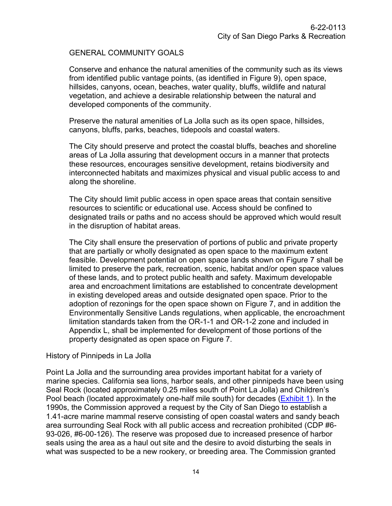## GENERAL COMMUNITY GOALS

Conserve and enhance the natural amenities of the community such as its views from identified public vantage points, (as identified in Figure 9), open space, hillsides, canyons, ocean, beaches, water quality, bluffs, wildlife and natural vegetation, and achieve a desirable relationship between the natural and developed components of the community.

Preserve the natural amenities of La Jolla such as its open space, hillsides, canyons, bluffs, parks, beaches, tidepools and coastal waters.

The City should preserve and protect the coastal bluffs, beaches and shoreline areas of La Jolla assuring that development occurs in a manner that protects these resources, encourages sensitive development, retains biodiversity and interconnected habitats and maximizes physical and visual public access to and along the shoreline.

The City should limit public access in open space areas that contain sensitive resources to scientific or educational use. Access should be confined to designated trails or paths and no access should be approved which would result in the disruption of habitat areas.

The City shall ensure the preservation of portions of public and private property that are partially or wholly designated as open space to the maximum extent feasible. Development potential on open space lands shown on Figure 7 shall be limited to preserve the park, recreation, scenic, habitat and/or open space values of these lands, and to protect public health and safety. Maximum developable area and encroachment limitations are established to concentrate development in existing developed areas and outside designated open space. Prior to the adoption of rezonings for the open space shown on Figure 7, and in addition the Environmentally Sensitive Lands regulations, when applicable, the encroachment limitation standards taken from the OR-1-1 and OR-1-2 zone and included in Appendix L, shall be implemented for development of those portions of the property designated as open space on Figure 7.

## History of Pinnipeds in La Jolla

Point La Jolla and the surrounding area provides important habitat for a variety of marine species. California sea lions, harbor seals, and other pinnipeds have been using Seal Rock (located approximately 0.25 miles south of Point La Jolla) and Children's Pool beach (located approximately one-half mile south) for decades [\(Exhibit 1\)](https://documents.coastal.ca.gov/reports/2022/4/F11c/F11c-4-2022-exhibits.pdf/). In the 1990s, the Commission approved a request by the City of San Diego to establish a 1.41-acre marine mammal reserve consisting of open coastal waters and sandy beach area surrounding Seal Rock with all public access and recreation prohibited (CDP #6- 93-026, #6-00-126). The reserve was proposed due to increased presence of harbor seals using the area as a haul out site and the desire to avoid disturbing the seals in what was suspected to be a new rookery, or breeding area. The Commission granted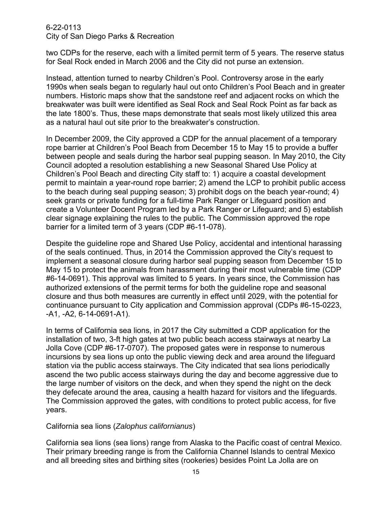two CDPs for the reserve, each with a limited permit term of 5 years. The reserve status for Seal Rock ended in March 2006 and the City did not purse an extension.

Instead, attention turned to nearby Children's Pool. Controversy arose in the early 1990s when seals began to regularly haul out onto Children's Pool Beach and in greater numbers. Historic maps show that the sandstone reef and adjacent rocks on which the breakwater was built were identified as Seal Rock and Seal Rock Point as far back as the late 1800's. Thus, these maps demonstrate that seals most likely utilized this area as a natural haul out site prior to the breakwater's construction.

In December 2009, the City approved a CDP for the annual placement of a temporary rope barrier at Children's Pool Beach from December 15 to May 15 to provide a buffer between people and seals during the harbor seal pupping season. In May 2010, the City Council adopted a resolution establishing a new Seasonal Shared Use Policy at Children's Pool Beach and directing City staff to: 1) acquire a coastal development permit to maintain a year-round rope barrier; 2) amend the LCP to prohibit public access to the beach during seal pupping season; 3) prohibit dogs on the beach year-round; 4) seek grants or private funding for a full-time Park Ranger or Lifeguard position and create a Volunteer Docent Program led by a Park Ranger or Lifeguard; and 5) establish clear signage explaining the rules to the public. The Commission approved the rope barrier for a limited term of 3 years (CDP #6-11-078).

Despite the guideline rope and Shared Use Policy, accidental and intentional harassing of the seals continued. Thus, in 2014 the Commission approved the City's request to implement a seasonal closure during harbor seal pupping season from December 15 to May 15 to protect the animals from harassment during their most vulnerable time (CDP #6-14-0691). This approval was limited to 5 years. In years since, the Commission has authorized extensions of the permit terms for both the guideline rope and seasonal closure and thus both measures are currently in effect until 2029, with the potential for continuance pursuant to City application and Commission approval (CDPs #6-15-0223, -A1, -A2, 6-14-0691-A1).

In terms of California sea lions, in 2017 the City submitted a CDP application for the installation of two, 3-ft high gates at two public beach access stairways at nearby La Jolla Cove (CDP #6-17-0707). The proposed gates were in response to numerous incursions by sea lions up onto the public viewing deck and area around the lifeguard station via the public access stairways. The City indicated that sea lions periodically ascend the two public access stairways during the day and become aggressive due to the large number of visitors on the deck, and when they spend the night on the deck they defecate around the area, causing a health hazard for visitors and the lifeguards. The Commission approved the gates, with conditions to protect public access, for five years.

## California sea lions (*Zalophus californianus*)

California sea lions (sea lions) range from Alaska to the Pacific coast of central Mexico. Their primary breeding range is from the California Channel Islands to central Mexico and all breeding sites and birthing sites (rookeries) besides Point La Jolla are on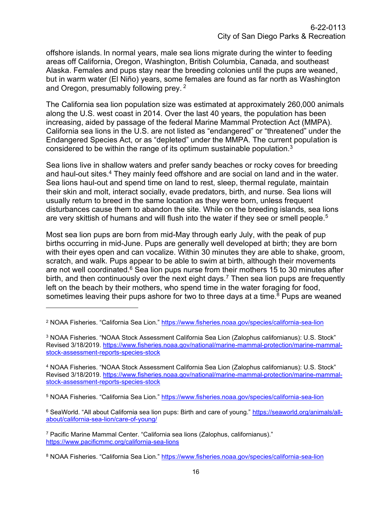offshore islands. In normal years, male sea lions migrate during the winter to feeding areas off California, Oregon, Washington, British Columbia, Canada, and southeast Alaska. Females and pups stay near the breeding colonies until the pups are weaned, but in warm water (El Niño) years, some females are found as far north as Washington and Oregon, presumably following prey. <sup>2</sup>

The California sea lion population size was estimated at approximately 260,000 animals along the U.S. west coast in 2014. Over the last 40 years, the population has been increasing, aided by passage of the federal Marine Mammal Protection Act (MMPA). California sea lions in the U.S. are not listed as "endangered" or "threatened" under the Endangered Species Act, or as "depleted" under the MMPA. The current population is considered to be within the range of its optimum sustainable population.<sup>3</sup>

Sea lions live in shallow waters and prefer sandy beaches or rocky coves for breeding and haul-out sites.<sup>4</sup> They mainly feed offshore and are social on land and in the water. Sea lions haul-out and spend time on land to rest, sleep, thermal regulate, maintain their skin and molt, interact socially, evade predators, birth, and nurse. Sea lions will usually return to breed in the same location as they were born, unless frequent disturbances cause them to abandon the site. While on the breeding islands, sea lions are very skittish of humans and will flush into the water if they see or smell people.<sup>5</sup>

Most sea lion pups are born from mid-May through early July, with the peak of pup births occurring in mid-June. Pups are generally well developed at birth; they are born with their eyes open and can vocalize. Within 30 minutes they are able to shake, groom, scratch, and walk. Pups appear to be able to swim at birth, although their movements are not well coordinated. $6$  Sea lion pups nurse from their mothers 15 to 30 minutes after birth, and then continuously over the next eight days.<sup>7</sup> Then sea lion pups are frequently left on the beach by their mothers, who spend time in the water foraging for food, sometimes leaving their pups ashore for two to three days at a time. <sup>8</sup> Pups are weaned

<sup>2</sup> NOAA Fisheries. "California Sea Lion."<https://www.fisheries.noaa.gov/species/california-sea-lion>

<sup>3</sup> NOAA Fisheries. "NOAA Stock Assessment California Sea Lion (Zalophus californianus): U.S. Stock" Revised 3/18/2019. [https://www.fisheries.noaa.gov/national/marine-mammal-protection/marine-mammal](https://www.fisheries.noaa.gov/national/marine-mammal-protection/marine-mammal-stock-assessment-reports-species-stock)[stock-assessment-reports-species-stock](https://www.fisheries.noaa.gov/national/marine-mammal-protection/marine-mammal-stock-assessment-reports-species-stock)

<sup>4</sup> NOAA Fisheries. "NOAA Stock Assessment California Sea Lion (Zalophus californianus): U.S. Stock" Revised 3/18/2019. [https://www.fisheries.noaa.gov/national/marine-mammal-protection/marine-mammal](https://www.fisheries.noaa.gov/national/marine-mammal-protection/marine-mammal-stock-assessment-reports-species-stock)[stock-assessment-reports-species-stock](https://www.fisheries.noaa.gov/national/marine-mammal-protection/marine-mammal-stock-assessment-reports-species-stock)

<sup>5</sup> NOAA Fisheries. "California Sea Lion."<https://www.fisheries.noaa.gov/species/california-sea-lion>

<sup>6</sup> SeaWorld. "All about California sea lion pups: Birth and care of young." [https://seaworld.org/animals/all](https://seaworld.org/animals/all-about/california-sea-lion/care-of-young/)[about/california-sea-lion/care-of-young/](https://seaworld.org/animals/all-about/california-sea-lion/care-of-young/)

<sup>7</sup> Pacific Marine Mammal Center. "California sea lions (Zalophus, californianus)." <https://www.pacificmmc.org/california-sea-lions>

<sup>8</sup> NOAA Fisheries. "California Sea Lion."<https://www.fisheries.noaa.gov/species/california-sea-lion>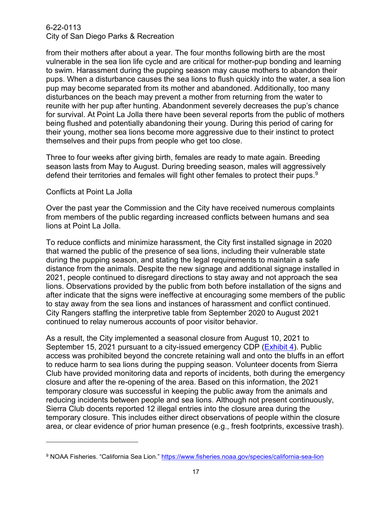from their mothers after about a year. The four months following birth are the most vulnerable in the sea lion life cycle and are critical for mother-pup bonding and learning to swim. Harassment during the pupping season may cause mothers to abandon their pups. When a disturbance causes the sea lions to flush quickly into the water, a sea lion pup may become separated from its mother and abandoned. Additionally, too many disturbances on the beach may prevent a mother from returning from the water to reunite with her pup after hunting. Abandonment severely decreases the pup's chance for survival. At Point La Jolla there have been several reports from the public of mothers being flushed and potentially abandoning their young. During this period of caring for their young, mother sea lions become more aggressive due to their instinct to protect themselves and their pups from people who get too close.

Three to four weeks after giving birth, females are ready to mate again. Breeding season lasts from May to August. During breeding season, males will aggressively defend their territories and females will fight other females to protect their pups.<sup>9</sup>

#### Conflicts at Point La Jolla

Over the past year the Commission and the City have received numerous complaints from members of the public regarding increased conflicts between humans and sea lions at Point La Jolla.

To reduce conflicts and minimize harassment, the City first installed signage in 2020 that warned the public of the presence of sea lions, including their vulnerable state during the pupping season, and stating the legal requirements to maintain a safe distance from the animals. Despite the new signage and additional signage installed in 2021, people continued to disregard directions to stay away and not approach the sea lions. Observations provided by the public from both before installation of the signs and after indicate that the signs were ineffective at encouraging some members of the public to stay away from the sea lions and instances of harassment and conflict continued. City Rangers staffing the interpretive table from September 2020 to August 2021 continued to relay numerous accounts of poor visitor behavior.

As a result, the City implemented a seasonal closure from August 10, 2021 to September 15, 2021 pursuant to a city-issued emergency CDP [\(Exhibit 4\)](https://documents.coastal.ca.gov/reports/2022/4/F11c/F11c-4-2022-exhibits.pdf/). Public access was prohibited beyond the concrete retaining wall and onto the bluffs in an effort to reduce harm to sea lions during the pupping season. Volunteer docents from Sierra Club have provided monitoring data and reports of incidents, both during the emergency closure and after the re-opening of the area. Based on this information, the 2021 temporary closure was successful in keeping the public away from the animals and reducing incidents between people and sea lions. Although not present continuously, Sierra Club docents reported 12 illegal entries into the closure area during the temporary closure. This includes either direct observations of people within the closure area, or clear evidence of prior human presence (e.g., fresh footprints, excessive trash).

<sup>9</sup> NOAA Fisheries. "California Sea Lion."<https://www.fisheries.noaa.gov/species/california-sea-lion>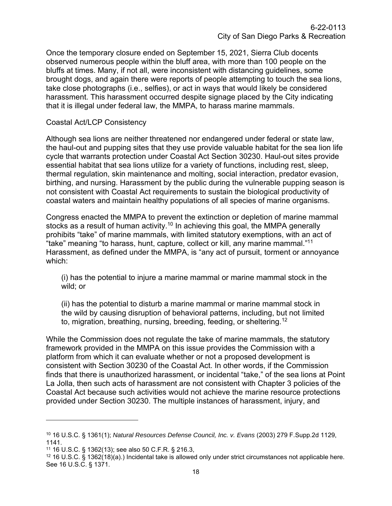Once the temporary closure ended on September 15, 2021, Sierra Club docents observed numerous people within the bluff area, with more than 100 people on the bluffs at times. Many, if not all, were inconsistent with distancing guidelines, some brought dogs, and again there were reports of people attempting to touch the sea lions, take close photographs (i.e., selfies), or act in ways that would likely be considered harassment. This harassment occurred despite signage placed by the City indicating that it is illegal under federal law, the MMPA, to harass marine mammals.

#### Coastal Act/LCP Consistency

Although sea lions are neither threatened nor endangered under federal or state law, the haul-out and pupping sites that they use provide valuable habitat for the sea lion life cycle that warrants protection under Coastal Act Section 30230. Haul-out sites provide essential habitat that sea lions utilize for a variety of functions, including rest, sleep, thermal regulation, skin maintenance and molting, social interaction, predator evasion, birthing, and nursing. Harassment by the public during the vulnerable pupping season is not consistent with Coastal Act requirements to sustain the biological productivity of coastal waters and maintain healthy populations of all species of marine organisms.

Congress enacted the MMPA to prevent the extinction or depletion of marine mammal stocks as a result of human activity.<sup>10</sup> In achieving this goal, the MMPA generally prohibits "take" of marine mammals, with limited statutory exemptions, with an act of "take" meaning "to harass, hunt, capture, collect or kill, any marine mammal."<sup>11</sup> Harassment, as defined under the MMPA, is "any act of pursuit, torment or annoyance which:

(i) has the potential to injure a marine mammal or marine mammal stock in the wild; or

(ii) has the potential to disturb a marine mammal or marine mammal stock in the wild by causing disruption of behavioral patterns, including, but not limited to, migration, breathing, nursing, breeding, feeding, or sheltering.<sup>12</sup>

While the Commission does not regulate the take of marine mammals, the statutory framework provided in the MMPA on this issue provides the Commission with a platform from which it can evaluate whether or not a proposed development is consistent with Section 30230 of the Coastal Act. In other words, if the Commission finds that there is unauthorized harassment, or incidental "take," of the sea lions at Point La Jolla, then such acts of harassment are not consistent with Chapter 3 policies of the Coastal Act because such activities would not achieve the marine resource protections provided under Section 30230. The multiple instances of harassment, injury, and

<sup>10</sup> 16 U.S.C. § 1361(1); *Natural Resources Defense Council, Inc. v. Evans* (2003) 279 F.Supp.2d 1129, 1141.

<sup>11</sup> 16 U.S.C. § 1362(13); see also 50 C.F.R. § 216.3,

 $12$  16 U.S.C. § 1362(18)(a).) Incidental take is allowed only under strict circumstances not applicable here. See 16 U.S.C. § 1371.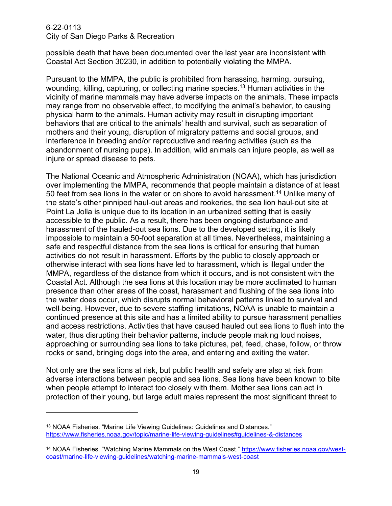possible death that have been documented over the last year are inconsistent with Coastal Act Section 30230, in addition to potentially violating the MMPA.

Pursuant to the MMPA, the public is prohibited from harassing, harming, pursuing, wounding, killing, capturing, or collecting marine species. <sup>13</sup> Human activities in the vicinity of marine mammals may have adverse impacts on the animals. These impacts may range from no observable effect, to modifying the animal's behavior, to causing physical harm to the animals. Human activity may result in disrupting important behaviors that are critical to the animals' health and survival, such as separation of mothers and their young, disruption of migratory patterns and social groups, and interference in breeding and/or reproductive and rearing activities (such as the abandonment of nursing pups). In addition, wild animals can injure people, as well as injure or spread disease to pets.

The National Oceanic and Atmospheric Administration (NOAA), which has jurisdiction over implementing the MMPA, recommends that people maintain a distance of at least 50 feet from sea lions in the water or on shore to avoid harassment. <sup>14</sup> Unlike many of the state's other pinniped haul-out areas and rookeries, the sea lion haul-out site at Point La Jolla is unique due to its location in an urbanized setting that is easily accessible to the public. As a result, there has been ongoing disturbance and harassment of the hauled-out sea lions. Due to the developed setting, it is likely impossible to maintain a 50-foot separation at all times. Nevertheless, maintaining a safe and respectful distance from the sea lions is critical for ensuring that human activities do not result in harassment. Efforts by the public to closely approach or otherwise interact with sea lions have led to harassment, which is illegal under the MMPA, regardless of the distance from which it occurs, and is not consistent with the Coastal Act. Although the sea lions at this location may be more acclimated to human presence than other areas of the coast, harassment and flushing of the sea lions into the water does occur, which disrupts normal behavioral patterns linked to survival and well-being. However, due to severe staffing limitations, NOAA is unable to maintain a continued presence at this site and has a limited ability to pursue harassment penalties and access restrictions. Activities that have caused hauled out sea lions to flush into the water, thus disrupting their behavior patterns, include people making loud noises, approaching or surrounding sea lions to take pictures, pet, feed, chase, follow, or throw rocks or sand, bringing dogs into the area, and entering and exiting the water.

Not only are the sea lions at risk, but public health and safety are also at risk from adverse interactions between people and sea lions. Sea lions have been known to bite when people attempt to interact too closely with them. Mother sea lions can act in protection of their young, but large adult males represent the most significant threat to

<sup>&</sup>lt;sup>13</sup> NOAA Fisheries. "Marine Life Viewing Guidelines: Guidelines and Distances." <https://www.fisheries.noaa.gov/topic/marine-life-viewing-guidelines#guidelines-&-distances>

<sup>&</sup>lt;sup>14</sup> NOAA Fisheries. "Watching Marine Mammals on the West Coast." [https://www.fisheries.noaa.gov/west](https://www.fisheries.noaa.gov/west-coast/marine-life-viewing-guidelines/watching-marine-mammals-west-coast)[coast/marine-life-viewing-guidelines/watching-marine-mammals-west-coast](https://www.fisheries.noaa.gov/west-coast/marine-life-viewing-guidelines/watching-marine-mammals-west-coast)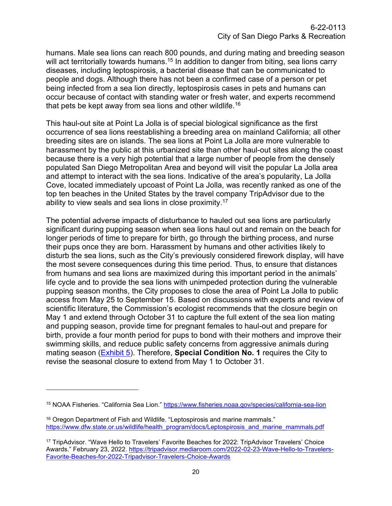humans. Male sea lions can reach 800 pounds, and during mating and breeding season will act territorially towards humans.<sup>15</sup> In addition to danger from biting, sea lions carry diseases, including leptospirosis, a bacterial disease that can be communicated to people and dogs. Although there has not been a confirmed case of a person or pet being infected from a sea lion directly, leptospirosis cases in pets and humans can occur because of contact with standing water or fresh water, and experts recommend that pets be kept away from sea lions and other wildlife.<sup>16</sup>

This haul-out site at Point La Jolla is of special biological significance as the first occurrence of sea lions reestablishing a breeding area on mainland California; all other breeding sites are on islands. The sea lions at Point La Jolla are more vulnerable to harassment by the public at this urbanized site than other haul-out sites along the coast because there is a very high potential that a large number of people from the densely populated San Diego Metropolitan Area and beyond will visit the popular La Jolla area and attempt to interact with the sea lions. Indicative of the area's popularity, La Jolla Cove, located immediately upcoast of Point La Jolla, was recently ranked as one of the top ten beaches in the United States by the travel company TripAdvisor due to the ability to view seals and sea lions in close proximity.<sup>17</sup>

The potential adverse impacts of disturbance to hauled out sea lions are particularly significant during pupping season when sea lions haul out and remain on the beach for longer periods of time to prepare for birth, go through the birthing process, and nurse their pups once they are born. Harassment by humans and other activities likely to disturb the sea lions, such as the City's previously considered firework display, will have the most severe consequences during this time period. Thus, to ensure that distances from humans and sea lions are maximized during this important period in the animals' life cycle and to provide the sea lions with unimpeded protection during the vulnerable pupping season months, the City proposes to close the area of Point La Jolla to public access from May 25 to September 15. Based on discussions with experts and review of scientific literature, the Commission's ecologist recommends that the closure begin on May 1 and extend through October 31 to capture the full extent of the sea lion mating and pupping season, provide time for pregnant females to haul-out and prepare for birth, provide a four month period for pups to bond with their mothers and improve their swimming skills, and reduce public safety concerns from aggressive animals during mating season [\(Exhibit 5\)](https://documents.coastal.ca.gov/reports/2022/4/F11c/F11c-4-2022-exhibits.pdf/). Therefore, **Special Condition No. 1** requires the City to revise the seasonal closure to extend from May 1 to October 31.

<sup>15</sup> NOAA Fisheries. "California Sea Lion."<https://www.fisheries.noaa.gov/species/california-sea-lion>

<sup>&</sup>lt;sup>16</sup> Oregon Department of Fish and Wildlife. "Leptospirosis and marine mammals." [https://www.dfw.state.or.us/wildlife/health\\_program/docs/Leptospirosis\\_and\\_marine\\_mammals.pdf](https://www.dfw.state.or.us/wildlife/health_program/docs/Leptospirosis_and_marine_mammals.pdf)

<sup>17</sup> TripAdvisor. "Wave Hello to Travelers' Favorite Beaches for 2022: TripAdvisor Travelers' Choice Awards." February 23, 2022. [https://tripadvisor.mediaroom.com/2022-02-23-Wave-Hello-to-Travelers-](https://tripadvisor.mediaroom.com/2022-02-23-Wave-Hello-to-Travelers-Favorite-Beaches-for-2022-Tripadvisor-Travelers-Choice-Awards)[Favorite-Beaches-for-2022-Tripadvisor-Travelers-Choice-Awards](https://tripadvisor.mediaroom.com/2022-02-23-Wave-Hello-to-Travelers-Favorite-Beaches-for-2022-Tripadvisor-Travelers-Choice-Awards)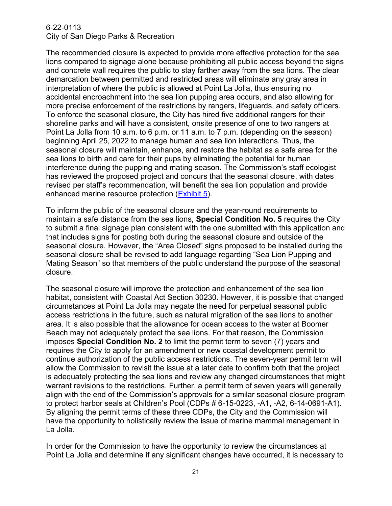The recommended closure is expected to provide more effective protection for the sea lions compared to signage alone because prohibiting all public access beyond the signs and concrete wall requires the public to stay farther away from the sea lions. The clear demarcation between permitted and restricted areas will eliminate any gray area in interpretation of where the public is allowed at Point La Jolla, thus ensuring no accidental encroachment into the sea lion pupping area occurs, and also allowing for more precise enforcement of the restrictions by rangers, lifeguards, and safety officers. To enforce the seasonal closure, the City has hired five additional rangers for their shoreline parks and will have a consistent, onsite presence of one to two rangers at Point La Jolla from 10 a.m. to 6 p.m. or 11 a.m. to 7 p.m. (depending on the season) beginning April 25, 2022 to manage human and sea lion interactions. Thus, the seasonal closure will maintain, enhance, and restore the habitat as a safe area for the sea lions to birth and care for their pups by eliminating the potential for human interference during the pupping and mating season. The Commission's staff ecologist has reviewed the proposed project and concurs that the seasonal closure, with dates revised per staff's recommendation, will benefit the sea lion population and provide enhanced marine resource protection [\(Exhibit 5\)](https://documents.coastal.ca.gov/reports/2022/4/F11c/F11c-4-2022-exhibits.pdf/).

To inform the public of the seasonal closure and the year-round requirements to maintain a safe distance from the sea lions, **Special Condition No. 5** requires the City to submit a final signage plan consistent with the one submitted with this application and that includes signs for posting both during the seasonal closure and outside of the seasonal closure. However, the "Area Closed" signs proposed to be installed during the seasonal closure shall be revised to add language regarding "Sea Lion Pupping and Mating Season" so that members of the public understand the purpose of the seasonal closure.

The seasonal closure will improve the protection and enhancement of the sea lion habitat, consistent with Coastal Act Section 30230. However, it is possible that changed circumstances at Point La Jolla may negate the need for perpetual seasonal public access restrictions in the future, such as natural migration of the sea lions to another area. It is also possible that the allowance for ocean access to the water at Boomer Beach may not adequately protect the sea lions. For that reason, the Commission imposes **Special Condition No. 2** to limit the permit term to seven (7) years and requires the City to apply for an amendment or new coastal development permit to continue authorization of the public access restrictions. The seven-year permit term will allow the Commission to revisit the issue at a later date to confirm both that the project is adequately protecting the sea lions and review any changed circumstances that might warrant revisions to the restrictions. Further, a permit term of seven years will generally align with the end of the Commission's approvals for a similar seasonal closure program to protect harbor seals at Children's Pool (CDPs # 6-15-0223, -A1, -A2, 6-14-0691-A1). By aligning the permit terms of these three CDPs, the City and the Commission will have the opportunity to holistically review the issue of marine mammal management in La Jolla.

In order for the Commission to have the opportunity to review the circumstances at Point La Jolla and determine if any significant changes have occurred, it is necessary to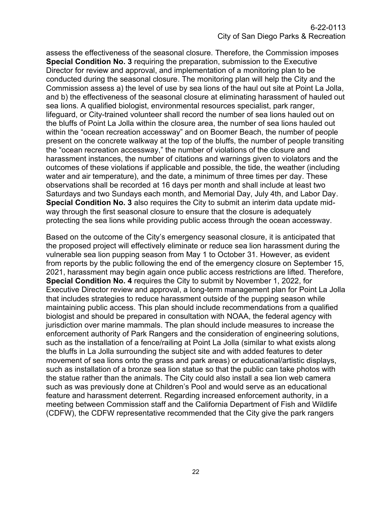assess the effectiveness of the seasonal closure. Therefore, the Commission imposes **Special Condition No. 3** requiring the preparation, submission to the Executive Director for review and approval, and implementation of a monitoring plan to be conducted during the seasonal closure. The monitoring plan will help the City and the Commission assess a) the level of use by sea lions of the haul out site at Point La Jolla, and b) the effectiveness of the seasonal closure at eliminating harassment of hauled out sea lions. A qualified biologist, environmental resources specialist, park ranger, lifeguard, or City-trained volunteer shall record the number of sea lions hauled out on the bluffs of Point La Jolla within the closure area, the number of sea lions hauled out within the "ocean recreation accessway" and on Boomer Beach, the number of people present on the concrete walkway at the top of the bluffs, the number of people transiting the "ocean recreation accessway," the number of violations of the closure and harassment instances, the number of citations and warnings given to violators and the outcomes of these violations if applicable and possible, the tide, the weather (including water and air temperature), and the date, a minimum of three times per day. These observations shall be recorded at 16 days per month and shall include at least two Saturdays and two Sundays each month, and Memorial Day, July 4th, and Labor Day. **Special Condition No. 3** also requires the City to submit an interim data update midway through the first seasonal closure to ensure that the closure is adequately protecting the sea lions while providing public access through the ocean accessway.

Based on the outcome of the City's emergency seasonal closure, it is anticipated that the proposed project will effectively eliminate or reduce sea lion harassment during the vulnerable sea lion pupping season from May 1 to October 31. However, as evident from reports by the public following the end of the emergency closure on September 15, 2021, harassment may begin again once public access restrictions are lifted. Therefore, **Special Condition No. 4** requires the City to submit by November 1, 2022, for Executive Director review and approval, a long-term management plan for Point La Jolla that includes strategies to reduce harassment outside of the pupping season while maintaining public access. This plan should include recommendations from a qualified biologist and should be prepared in consultation with NOAA, the federal agency with jurisdiction over marine mammals. The plan should include measures to increase the enforcement authority of Park Rangers and the consideration of engineering solutions, such as the installation of a fence/railing at Point La Jolla (similar to what exists along the bluffs in La Jolla surrounding the subject site and with added features to deter movement of sea lions onto the grass and park areas) or educational/artistic displays, such as installation of a bronze sea lion statue so that the public can take photos with the statue rather than the animals. The City could also install a sea lion web camera such as was previously done at Children's Pool and would serve as an educational feature and harassment deterrent. Regarding increased enforcement authority, in a meeting between Commission staff and the California Department of Fish and Wildlife (CDFW), the CDFW representative recommended that the City give the park rangers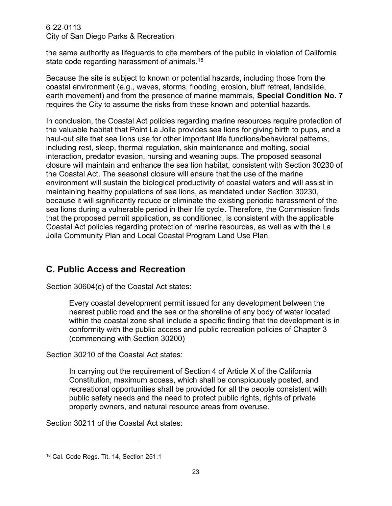the same authority as lifeguards to cite members of the public in violation of California state code regarding harassment of animals.<sup>18</sup>

Because the site is subject to known or potential hazards, including those from the coastal environment (e.g., waves, storms, flooding, erosion, bluff retreat, landslide, earth movement) and from the presence of marine mammals, **Special Condition No. 7** requires the City to assume the risks from these known and potential hazards.

In conclusion, the Coastal Act policies regarding marine resources require protection of the valuable habitat that Point La Jolla provides sea lions for giving birth to pups, and a haul-out site that sea lions use for other important life functions/behavioral patterns, including rest, sleep, thermal regulation, skin maintenance and molting, social interaction, predator evasion, nursing and weaning pups. The proposed seasonal closure will maintain and enhance the sea lion habitat, consistent with Section 30230 of the Coastal Act. The seasonal closure will ensure that the use of the marine environment will sustain the biological productivity of coastal waters and will assist in maintaining healthy populations of sea lions, as mandated under Section 30230, because it will significantly reduce or eliminate the existing periodic harassment of the sea lions during a vulnerable period in their life cycle. Therefore, the Commission finds that the proposed permit application, as conditioned, is consistent with the applicable Coastal Act policies regarding protection of marine resources, as well as with the La Jolla Community Plan and Local Coastal Program Land Use Plan.

## <span id="page-22-0"></span>**C. Public Access and Recreation**

Section 30604(c) of the Coastal Act states:

Every coastal development permit issued for any development between the nearest public road and the sea or the shoreline of any body of water located within the coastal zone shall include a specific finding that the development is in conformity with the public access and public recreation policies of Chapter 3 (commencing with Section 30200)

Section 30210 of the Coastal Act states:

In carrying out the requirement of Section 4 of Article X of the California Constitution, maximum access, which shall be conspicuously posted, and recreational opportunities shall be provided for all the people consistent with public safety needs and the need to protect public rights, rights of private property owners, and natural resource areas from overuse.

Section 30211 of the Coastal Act states:

<sup>18</sup> Cal. Code Regs. Tit. 14, Section 251.1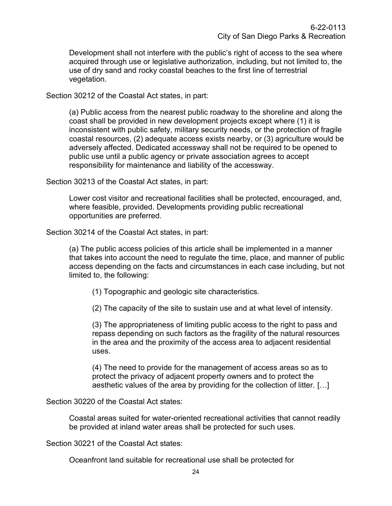Development shall not interfere with the public's right of access to the sea where acquired through use or legislative authorization, including, but not limited to, the use of dry sand and rocky coastal beaches to the first line of terrestrial vegetation.

Section 30212 of the Coastal Act states, in part:

(a) Public access from the nearest public roadway to the shoreline and along the coast shall be provided in new development projects except where (1) it is inconsistent with public safety, military security needs, or the protection of fragile coastal resources, (2) adequate access exists nearby, or (3) agriculture would be adversely affected. Dedicated accessway shall not be required to be opened to public use until a public agency or private association agrees to accept responsibility for maintenance and liability of the accessway.

Section 30213 of the Coastal Act states, in part:

Lower cost visitor and recreational facilities shall be protected, encouraged, and, where feasible, provided. Developments providing public recreational opportunities are preferred.

Section 30214 of the Coastal Act states, in part:

(a) The public access policies of this article shall be implemented in a manner that takes into account the need to regulate the time, place, and manner of public access depending on the facts and circumstances in each case including, but not limited to, the following:

(1) Topographic and geologic site characteristics.

(2) The capacity of the site to sustain use and at what level of intensity.

(3) The appropriateness of limiting public access to the right to pass and repass depending on such factors as the fragility of the natural resources in the area and the proximity of the access area to adjacent residential uses.

(4) The need to provide for the management of access areas so as to protect the privacy of adjacent property owners and to protect the aesthetic values of the area by providing for the collection of litter. […]

Section 30220 of the Coastal Act states:

Coastal areas suited for water-oriented recreational activities that cannot readily be provided at inland water areas shall be protected for such uses.

Section 30221 of the Coastal Act states:

Oceanfront land suitable for recreational use shall be protected for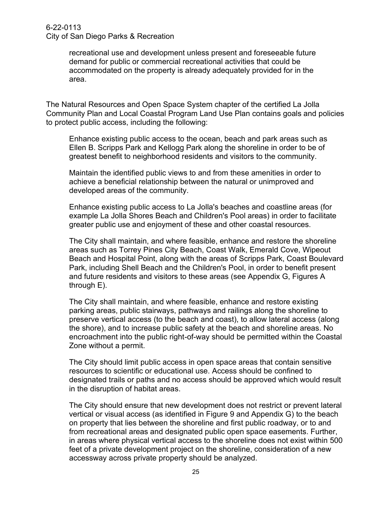recreational use and development unless present and foreseeable future demand for public or commercial recreational activities that could be accommodated on the property is already adequately provided for in the area.

The Natural Resources and Open Space System chapter of the certified La Jolla Community Plan and Local Coastal Program Land Use Plan contains goals and policies to protect public access, including the following:

Enhance existing public access to the ocean, beach and park areas such as Ellen B. Scripps Park and Kellogg Park along the shoreline in order to be of greatest benefit to neighborhood residents and visitors to the community.

Maintain the identified public views to and from these amenities in order to achieve a beneficial relationship between the natural or unimproved and developed areas of the community.

Enhance existing public access to La Jolla's beaches and coastline areas (for example La Jolla Shores Beach and Children's Pool areas) in order to facilitate greater public use and enjoyment of these and other coastal resources.

The City shall maintain, and where feasible, enhance and restore the shoreline areas such as Torrey Pines City Beach, Coast Walk, Emerald Cove, Wipeout Beach and Hospital Point, along with the areas of Scripps Park, Coast Boulevard Park, including Shell Beach and the Children's Pool, in order to benefit present and future residents and visitors to these areas (see Appendix G, Figures A through E).

The City shall maintain, and where feasible, enhance and restore existing parking areas, public stairways, pathways and railings along the shoreline to preserve vertical access (to the beach and coast), to allow lateral access (along the shore), and to increase public safety at the beach and shoreline areas. No encroachment into the public right-of-way should be permitted within the Coastal Zone without a permit.

The City should limit public access in open space areas that contain sensitive resources to scientific or educational use. Access should be confined to designated trails or paths and no access should be approved which would result in the disruption of habitat areas.

The City should ensure that new development does not restrict or prevent lateral vertical or visual access (as identified in Figure 9 and Appendix G) to the beach on property that lies between the shoreline and first public roadway, or to and from recreational areas and designated public open space easements. Further, in areas where physical vertical access to the shoreline does not exist within 500 feet of a private development project on the shoreline, consideration of a new accessway across private property should be analyzed.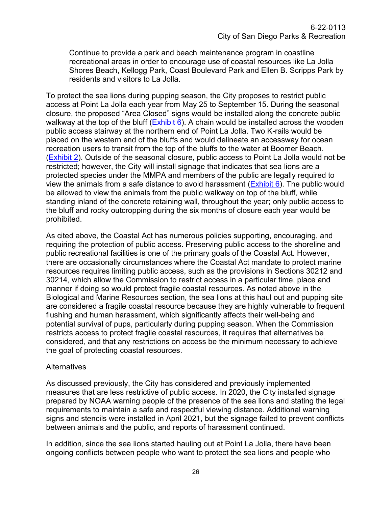Continue to provide a park and beach maintenance program in coastline recreational areas in order to encourage use of coastal resources like La Jolla Shores Beach, Kellogg Park, Coast Boulevard Park and Ellen B. Scripps Park by residents and visitors to La Jolla.

To protect the sea lions during pupping season, the City proposes to restrict public access at Point La Jolla each year from May 25 to September 15. During the seasonal closure, the proposed "Area Closed" signs would be installed along the concrete public walkway at the top of the bluff ( $Exhibit 6$ ). A chain would be installed across the wooden public access stairway at the northern end of Point La Jolla. Two K-rails would be placed on the western end of the bluffs and would delineate an accessway for ocean recreation users to transit from the top of the bluffs to the water at Boomer Beach. [\(Exhibit 2\)](https://documents.coastal.ca.gov/reports/2022/4/F11c/F11c-4-2022-exhibits.pdf/). Outside of the seasonal closure, public access to Point La Jolla would not be restricted; however, the City will install signage that indicates that sea lions are a protected species under the MMPA and members of the public are legally required to view the animals from a safe distance to avoid harassment  $(Exhibit 6)$ . The public would be allowed to view the animals from the public walkway on top of the bluff, while standing inland of the concrete retaining wall, throughout the year; only public access to the bluff and rocky outcropping during the six months of closure each year would be prohibited.

As cited above, the Coastal Act has numerous policies supporting, encouraging, and requiring the protection of public access. Preserving public access to the shoreline and public recreational facilities is one of the primary goals of the Coastal Act. However, there are occasionally circumstances where the Coastal Act mandate to protect marine resources requires limiting public access, such as the provisions in Sections 30212 and 30214, which allow the Commission to restrict access in a particular time, place and manner if doing so would protect fragile coastal resources. As noted above in the Biological and Marine Resources section, the sea lions at this haul out and pupping site are considered a fragile coastal resource because they are highly vulnerable to frequent flushing and human harassment, which significantly affects their well-being and potential survival of pups, particularly during pupping season. When the Commission restricts access to protect fragile coastal resources, it requires that alternatives be considered, and that any restrictions on access be the minimum necessary to achieve the goal of protecting coastal resources.

## **Alternatives**

As discussed previously, the City has considered and previously implemented measures that are less restrictive of public access. In 2020, the City installed signage prepared by NOAA warning people of the presence of the sea lions and stating the legal requirements to maintain a safe and respectful viewing distance. Additional warning signs and stencils were installed in April 2021, but the signage failed to prevent conflicts between animals and the public, and reports of harassment continued.

In addition, since the sea lions started hauling out at Point La Jolla, there have been ongoing conflicts between people who want to protect the sea lions and people who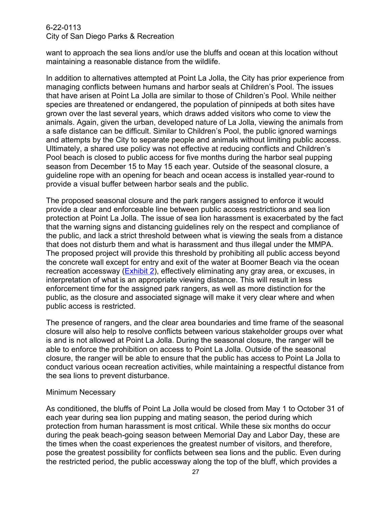want to approach the sea lions and/or use the bluffs and ocean at this location without maintaining a reasonable distance from the wildlife.

In addition to alternatives attempted at Point La Jolla, the City has prior experience from managing conflicts between humans and harbor seals at Children's Pool. The issues that have arisen at Point La Jolla are similar to those of Children's Pool. While neither species are threatened or endangered, the population of pinnipeds at both sites have grown over the last several years, which draws added visitors who come to view the animals. Again, given the urban, developed nature of La Jolla, viewing the animals from a safe distance can be difficult. Similar to Children's Pool, the public ignored warnings and attempts by the City to separate people and animals without limiting public access. Ultimately, a shared use policy was not effective at reducing conflicts and Children's Pool beach is closed to public access for five months during the harbor seal pupping season from December 15 to May 15 each year. Outside of the seasonal closure, a guideline rope with an opening for beach and ocean access is installed year-round to provide a visual buffer between harbor seals and the public.

The proposed seasonal closure and the park rangers assigned to enforce it would provide a clear and enforceable line between public access restrictions and sea lion protection at Point La Jolla. The issue of sea lion harassment is exacerbated by the fact that the warning signs and distancing guidelines rely on the respect and compliance of the public, and lack a strict threshold between what is viewing the seals from a distance that does not disturb them and what is harassment and thus illegal under the MMPA. The proposed project will provide this threshold by prohibiting all public access beyond the concrete wall except for entry and exit of the water at Boomer Beach via the ocean recreation accessway [\(Exhibit 2\)](https://documents.coastal.ca.gov/reports/2022/4/F11c/F11c-4-2022-exhibits.pdf/), effectively eliminating any gray area, or excuses, in interpretation of what is an appropriate viewing distance. This will result in less enforcement time for the assigned park rangers, as well as more distinction for the public, as the closure and associated signage will make it very clear where and when public access is restricted.

The presence of rangers, and the clear area boundaries and time frame of the seasonal closure will also help to resolve conflicts between various stakeholder groups over what is and is not allowed at Point La Jolla. During the seasonal closure, the ranger will be able to enforce the prohibition on access to Point La Jolla. Outside of the seasonal closure, the ranger will be able to ensure that the public has access to Point La Jolla to conduct various ocean recreation activities, while maintaining a respectful distance from the sea lions to prevent disturbance.

## Minimum Necessary

As conditioned, the bluffs of Point La Jolla would be closed from May 1 to October 31 of each year during sea lion pupping and mating season, the period during which protection from human harassment is most critical. While these six months do occur during the peak beach-going season between Memorial Day and Labor Day, these are the times when the coast experiences the greatest number of visitors, and therefore, pose the greatest possibility for conflicts between sea lions and the public. Even during the restricted period, the public accessway along the top of the bluff, which provides a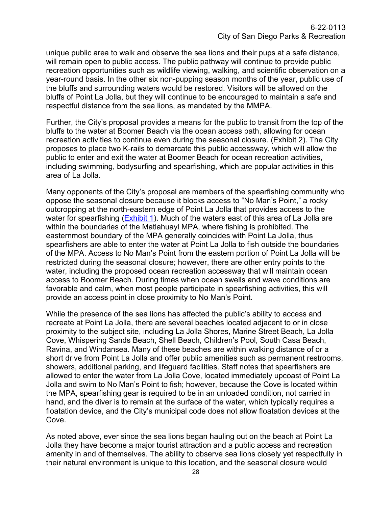unique public area to walk and observe the sea lions and their pups at a safe distance, will remain open to public access. The public pathway will continue to provide public recreation opportunities such as wildlife viewing, walking, and scientific observation on a year-round basis. In the other six non-pupping season months of the year, public use of the bluffs and surrounding waters would be restored. Visitors will be allowed on the bluffs of Point La Jolla, but they will continue to be encouraged to maintain a safe and respectful distance from the sea lions, as mandated by the MMPA.

Further, the City's proposal provides a means for the public to transit from the top of the bluffs to the water at Boomer Beach via the ocean access path, allowing for ocean recreation activities to continue even during the seasonal closure. (Exhibit 2). The City proposes to place two K-rails to demarcate this public accessway, which will allow the public to enter and exit the water at Boomer Beach for ocean recreation activities, including swimming, bodysurfing and spearfishing, which are popular activities in this area of La Jolla.

Many opponents of the City's proposal are members of the spearfishing community who oppose the seasonal closure because it blocks access to "No Man's Point," a rocky outcropping at the north-eastern edge of Point La Jolla that provides access to the water for spearfishing [\(Exhibit 1\)](https://documents.coastal.ca.gov/reports/2022/4/F11c/F11c-4-2022-exhibits.pdf/). Much of the waters east of this area of La Jolla are within the boundaries of the Matlahuayl MPA, where fishing is prohibited. The easternmost boundary of the MPA generally coincides with Point La Jolla, thus spearfishers are able to enter the water at Point La Jolla to fish outside the boundaries of the MPA. Access to No Man's Point from the eastern portion of Point La Jolla will be restricted during the seasonal closure; however, there are other entry points to the water, including the proposed ocean recreation accessway that will maintain ocean access to Boomer Beach. During times when ocean swells and wave conditions are favorable and calm, when most people participate in spearfishing activities, this will provide an access point in close proximity to No Man's Point.

While the presence of the sea lions has affected the public's ability to access and recreate at Point La Jolla, there are several beaches located adjacent to or in close proximity to the subject site, including La Jolla Shores, Marine Street Beach, La Jolla Cove, Whispering Sands Beach, Shell Beach, Children's Pool, South Casa Beach, Ravina, and Windansea. Many of these beaches are within walking distance of or a short drive from Point La Jolla and offer public amenities such as permanent restrooms, showers, additional parking, and lifeguard facilities. Staff notes that spearfishers are allowed to enter the water from La Jolla Cove, located immediately upcoast of Point La Jolla and swim to No Man's Point to fish; however, because the Cove is located within the MPA, spearfishing gear is required to be in an unloaded condition, not carried in hand, and the diver is to remain at the surface of the water, which typically requires a floatation device, and the City's municipal code does not allow floatation devices at the Cove.

As noted above, ever since the sea lions began hauling out on the beach at Point La Jolla they have become a major tourist attraction and a public access and recreation amenity in and of themselves. The ability to observe sea lions closely yet respectfully in their natural environment is unique to this location, and the seasonal closure would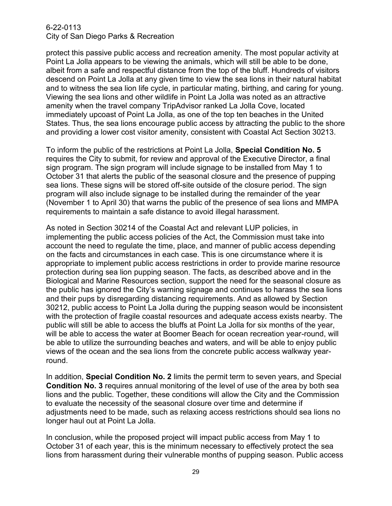protect this passive public access and recreation amenity. The most popular activity at Point La Jolla appears to be viewing the animals, which will still be able to be done, albeit from a safe and respectful distance from the top of the bluff. Hundreds of visitors descend on Point La Jolla at any given time to view the sea lions in their natural habitat and to witness the sea lion life cycle, in particular mating, birthing, and caring for young. Viewing the sea lions and other wildlife in Point La Jolla was noted as an attractive amenity when the travel company TripAdvisor ranked La Jolla Cove, located immediately upcoast of Point La Jolla, as one of the top ten beaches in the United States. Thus, the sea lions encourage public access by attracting the public to the shore and providing a lower cost visitor amenity, consistent with Coastal Act Section 30213.

To inform the public of the restrictions at Point La Jolla, **Special Condition No. 5** requires the City to submit, for review and approval of the Executive Director, a final sign program. The sign program will include signage to be installed from May 1 to October 31 that alerts the public of the seasonal closure and the presence of pupping sea lions. These signs will be stored off-site outside of the closure period. The sign program will also include signage to be installed during the remainder of the year (November 1 to April 30) that warns the public of the presence of sea lions and MMPA requirements to maintain a safe distance to avoid illegal harassment.

As noted in Section 30214 of the Coastal Act and relevant LUP policies, in implementing the public access policies of the Act, the Commission must take into account the need to regulate the time, place, and manner of public access depending on the facts and circumstances in each case. This is one circumstance where it is appropriate to implement public access restrictions in order to provide marine resource protection during sea lion pupping season. The facts, as described above and in the Biological and Marine Resources section, support the need for the seasonal closure as the public has ignored the City's warning signage and continues to harass the sea lions and their pups by disregarding distancing requirements. And as allowed by Section 30212, public access to Point La Jolla during the pupping season would be inconsistent with the protection of fragile coastal resources and adequate access exists nearby. The public will still be able to access the bluffs at Point La Jolla for six months of the year, will be able to access the water at Boomer Beach for ocean recreation year-round, will be able to utilize the surrounding beaches and waters, and will be able to enjoy public views of the ocean and the sea lions from the concrete public access walkway yearround.

In addition, **Special Condition No. 2** limits the permit term to seven years, and Special **Condition No. 3** requires annual monitoring of the level of use of the area by both sea lions and the public. Together, these conditions will allow the City and the Commission to evaluate the necessity of the seasonal closure over time and determine if adjustments need to be made, such as relaxing access restrictions should sea lions no longer haul out at Point La Jolla.

In conclusion, while the proposed project will impact public access from May 1 to October 31 of each year, this is the minimum necessary to effectively protect the sea lions from harassment during their vulnerable months of pupping season. Public access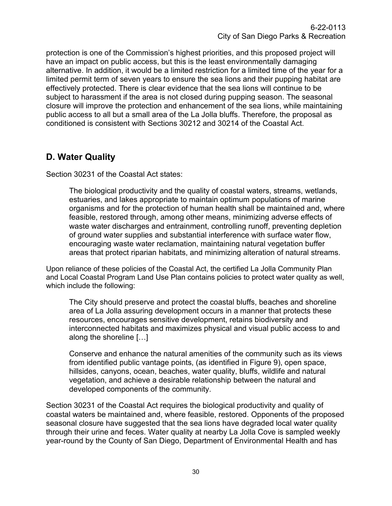protection is one of the Commission's highest priorities, and this proposed project will have an impact on public access, but this is the least environmentally damaging alternative. In addition, it would be a limited restriction for a limited time of the year for a limited permit term of seven years to ensure the sea lions and their pupping habitat are effectively protected. There is clear evidence that the sea lions will continue to be subject to harassment if the area is not closed during pupping season. The seasonal closure will improve the protection and enhancement of the sea lions, while maintaining public access to all but a small area of the La Jolla bluffs. Therefore, the proposal as conditioned is consistent with Sections 30212 and 30214 of the Coastal Act.

## <span id="page-29-0"></span>**D. Water Quality**

Section 30231 of the Coastal Act states:

The biological productivity and the quality of coastal waters, streams, wetlands, estuaries, and lakes appropriate to maintain optimum populations of marine organisms and for the protection of human health shall be maintained and, where feasible, restored through, among other means, minimizing adverse effects of waste water discharges and entrainment, controlling runoff, preventing depletion of ground water supplies and substantial interference with surface water flow, encouraging waste water reclamation, maintaining natural vegetation buffer areas that protect riparian habitats, and minimizing alteration of natural streams.

Upon reliance of these policies of the Coastal Act, the certified La Jolla Community Plan and Local Coastal Program Land Use Plan contains policies to protect water quality as well, which include the following:

The City should preserve and protect the coastal bluffs, beaches and shoreline area of La Jolla assuring development occurs in a manner that protects these resources, encourages sensitive development, retains biodiversity and interconnected habitats and maximizes physical and visual public access to and along the shoreline […]

Conserve and enhance the natural amenities of the community such as its views from identified public vantage points, (as identified in Figure 9), open space, hillsides, canyons, ocean, beaches, water quality, bluffs, wildlife and natural vegetation, and achieve a desirable relationship between the natural and developed components of the community.

Section 30231 of the Coastal Act requires the biological productivity and quality of coastal waters be maintained and, where feasible, restored. Opponents of the proposed seasonal closure have suggested that the sea lions have degraded local water quality through their urine and feces. Water quality at nearby La Jolla Cove is sampled weekly year-round by the County of San Diego, Department of Environmental Health and has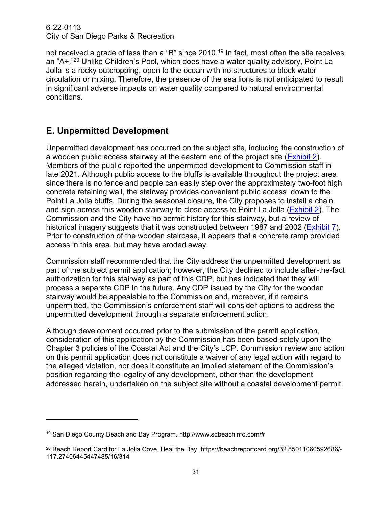not received a grade of less than a "B" since 2010.<sup>19</sup> In fact, most often the site receives an "A+."<sup>20</sup> Unlike Children's Pool, which does have a water quality advisory, Point La Jolla is a rocky outcropping, open to the ocean with no structures to block water circulation or mixing. Therefore, the presence of the sea lions is not anticipated to result in significant adverse impacts on water quality compared to natural environmental conditions.

## <span id="page-30-0"></span>**E. Unpermitted Development**

Unpermitted development has occurred on the subject site, including the construction of a wooden public access stairway at the eastern end of the project site [\(Exhibit 2\)](https://documents.coastal.ca.gov/reports/2022/4/F11c/F11c-4-2022-exhibits.pdf/). Members of the public reported the unpermitted development to Commission staff in late 2021. Although public access to the bluffs is available throughout the project area since there is no fence and people can easily step over the approximately two-foot high concrete retaining wall, the stairway provides convenient public access down to the Point La Jolla bluffs. During the seasonal closure, the City proposes to install a chain and sign across this wooden stairway to close access to Point La Jolla [\(Exhibit 2\)](https://documents.coastal.ca.gov/reports/2022/4/F11c/F11c-4-2022-exhibits.pdf/). The Commission and the City have no permit history for this stairway, but a review of historical imagery suggests that it was constructed between 1987 and 2002 [\(Exhibit 7\)](https://documents.coastal.ca.gov/reports/2022/4/F11c/F11c-4-2022-exhibits.pdf/). Prior to construction of the wooden staircase, it appears that a concrete ramp provided access in this area, but may have eroded away.

Commission staff recommended that the City address the unpermitted development as part of the subject permit application; however, the City declined to include after-the-fact authorization for this stairway as part of this CDP, but has indicated that they will process a separate CDP in the future. Any CDP issued by the City for the wooden stairway would be appealable to the Commission and, moreover, if it remains unpermitted, the Commission's enforcement staff will consider options to address the unpermitted development through a separate enforcement action.

Although development occurred prior to the submission of the permit application, consideration of this application by the Commission has been based solely upon the Chapter 3 policies of the Coastal Act and the City's LCP. Commission review and action on this permit application does not constitute a waiver of any legal action with regard to the alleged violation, nor does it constitute an implied statement of the Commission's position regarding the legality of any development, other than the development addressed herein, undertaken on the subject site without a coastal development permit.

<sup>19</sup> San Diego County Beach and Bay Program. http://www.sdbeachinfo.com/#

<sup>&</sup>lt;sup>20</sup> Beach Report Card for La Jolla Cove. Heal the Bay. https://beachreportcard.org/32.85011060592686/-117.27406445447485/16/314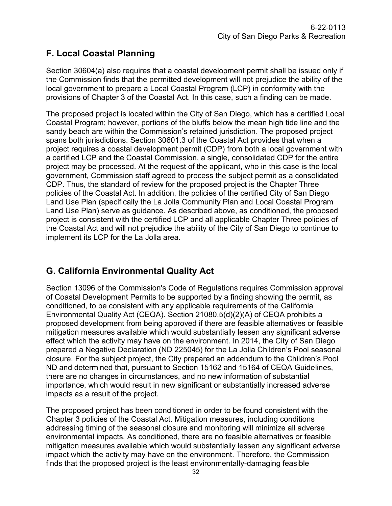## <span id="page-31-0"></span>**F. Local Coastal Planning**

Section 30604(a) also requires that a coastal development permit shall be issued only if the Commission finds that the permitted development will not prejudice the ability of the local government to prepare a Local Coastal Program (LCP) in conformity with the provisions of Chapter 3 of the Coastal Act. In this case, such a finding can be made.

The proposed project is located within the City of San Diego, which has a certified Local Coastal Program; however, portions of the bluffs below the mean high tide line and the sandy beach are within the Commission's retained jurisdiction. The proposed project spans both jurisdictions. Section 30601.3 of the Coastal Act provides that when a project requires a coastal development permit (CDP) from both a local government with a certified LCP and the Coastal Commission, a single, consolidated CDP for the entire project may be processed. At the request of the applicant, who in this case is the local government, Commission staff agreed to process the subject permit as a consolidated CDP. Thus, the standard of review for the proposed project is the Chapter Three policies of the Coastal Act. In addition, the policies of the certified City of San Diego Land Use Plan (specifically the La Jolla Community Plan and Local Coastal Program Land Use Plan) serve as guidance. As described above, as conditioned, the proposed project is consistent with the certified LCP and all applicable Chapter Three policies of the Coastal Act and will not prejudice the ability of the City of San Diego to continue to implement its LCP for the La Jolla area.

# <span id="page-31-1"></span>**G. California Environmental Quality Act**

Section 13096 of the Commission's Code of Regulations requires Commission approval of Coastal Development Permits to be supported by a finding showing the permit, as conditioned, to be consistent with any applicable requirements of the California Environmental Quality Act (CEQA). Section 21080.5(d)(2)(A) of CEQA prohibits a proposed development from being approved if there are feasible alternatives or feasible mitigation measures available which would substantially lessen any significant adverse effect which the activity may have on the environment. In 2014, the City of San Diego prepared a Negative Declaration (ND 225045) for the La Jolla Children's Pool seasonal closure. For the subject project, the City prepared an addendum to the Children's Pool ND and determined that, pursuant to Section 15162 and 15164 of CEQA Guidelines, there are no changes in circumstances, and no new information of substantial importance, which would result in new significant or substantially increased adverse impacts as a result of the project.

The proposed project has been conditioned in order to be found consistent with the Chapter 3 policies of the Coastal Act. Mitigation measures, including conditions addressing timing of the seasonal closure and monitoring will minimize all adverse environmental impacts. As conditioned, there are no feasible alternatives or feasible mitigation measures available which would substantially lessen any significant adverse impact which the activity may have on the environment. Therefore, the Commission finds that the proposed project is the least environmentally-damaging feasible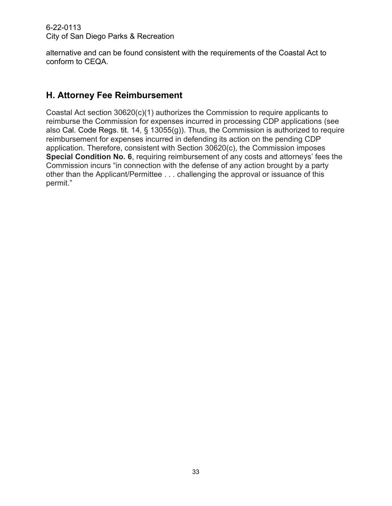alternative and can be found consistent with the requirements of the Coastal Act to conform to CEQA.

## <span id="page-32-0"></span>**H. Attorney Fee Reimbursement**

Coastal Act section 30620(c)(1) authorizes the Commission to require applicants to reimburse the Commission for expenses incurred in processing CDP applications (see also Cal. Code Regs. tit. 14, § 13055(g)). Thus, the Commission is authorized to require reimbursement for expenses incurred in defending its action on the pending CDP application. Therefore, consistent with Section 30620(c), the Commission imposes **Special Condition No. 6**, requiring reimbursement of any costs and attorneys' fees the Commission incurs "in connection with the defense of any action brought by a party other than the Applicant/Permittee . . . challenging the approval or issuance of this permit."